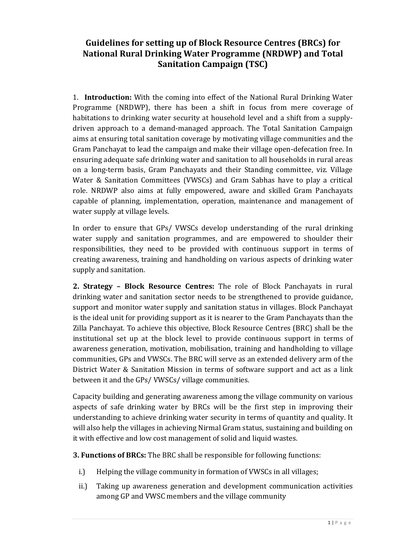## **Guidelines for setting up of Block Resource Centres (BRCs) for National Rural Drinking Water Programme (NRDWP) and Total Sanitation Campaign (TSC)**

 1. **Introduction:** With the coming into effect of the National Rural Drinking Water Programme (NRDWP), there has been a shift in focus from mere coverage of Gram Panchayat to lead the campaign and make their village open‐defecation free. In ensuring adequate safe drinking water and sanitation to all households in rural areas capable of planning, implementation, operation, maintenance and management of habitations to drinking water security at household level and a shift from a supply‐ driven approach to a demand‐managed approach. The Total Sanitation Campaign aims at ensuring total sanitation coverage by motivating village communities and the on a long‐term basis, Gram Panchayats and their Standing committee, viz. Village Water & Sanitation Committees (VWSCs) and Gram Sabhas have to play a critical role. NRDWP also aims at fully empowered, aware and skilled Gram Panchayats water supply at village levels.

 In order to ensure that GPs/ VWSCs develop understanding of the rural drinking creating awareness, training and handholding on various aspects of drinking water water supply and sanitation programmes, and are empowered to shoulder their responsibilities, they need to be provided with continuous support in terms of supply and sanitation.

 **2. Strategy – Block Resource Centres:** The role of Block Panchayats in rural drinking water and sanitation sector needs to be strengthened to provide guidance, support and monitor water supply and sanitation status in villages. Block Panchayat is the ideal unit for providing support as it is nearer to the Gram Panchayats than the Zilla Panchayat. To achieve this objective, Block Resource Centres (BRC) shall be the institutional set up at the block level to provide continuous support in terms of communities, GPs and VWSCs. The BRC will serve as an extended delivery arm of the District Water & Sanitation Mission in terms of software support and act as a link awareness generation, motivation, mobilisation, training and handholding to village between it and the GPs/ VWSCs/ village communities.

 aspects of safe drinking water by BRCs will be the first step in improving their Capacity building and generating awareness among the village community on various understanding to achieve drinking water security in terms of quantity and quality. It will also help the villages in achieving Nirmal Gram status, sustaining and building on it with effective and low cost management of solid and liquid wastes.

 **3. Functions of BRCs:** The BRC shall be responsible for following functions:

- i.) Helping the village community in formation of VWSCs in all villages;
- ii.) Taking up awareness generation and development communication activities among GP and VWSC members and the village community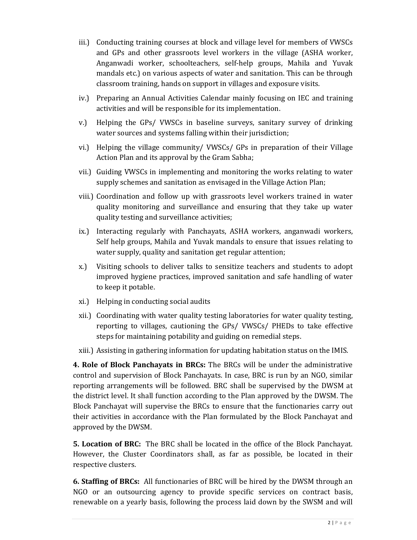- iii.) Conducting training courses at block and village level for members of VWSCs mandals etc.) on various aspects of water and sanitation. This can be through and GPs and other grassroots level workers in the village (ASHA worker, Anganwadi worker, schoolteachers, self‐help groups, Mahila and Yuvak classroom training, hands on support in villages and exposure visits.
- iv.) Preparing an Annual Activities Calendar mainly focusing on IEC and training activities and will be responsible for its implementation.
- v.) Helping the GPs/ VWSCs in baseline surveys, sanitary survey of drinking water sources and systems falling within their jurisdiction;
- vi.) Helping the village community/ VWSCs/ GPs in preparation of their Village Action Plan and its approval by the Gram Sabha;
- vii.) Guiding VWSCs in implementing and monitoring the works relating to water supply schemes and sanitation as envisaged in the Village Action Plan;
- viii.) Coordination and follow up with grassroots level workers trained in water quality monitoring and surveillance and ensuring that they take up water quality testing and surveillance activities;
- ix.) Interacting regularly with Panchayats, ASHA workers, anganwadi workers, Self help groups, Mahila and Yuvak mandals to ensure that issues relating to water supply, quality and sanitation get regular attention;
- improved hygiene practices, improved sanitation and safe handling of water to keep it potable. x.) Visiting schools to deliver talks to sensitize teachers and students to adopt
- xi.) Helping in conducting social audits
- reporting to villages, cautioning the GPs/ VWSCs/ PHEDs to take effective steps for maintaining potability and guiding on remedial steps. xii.) Coordinating with water quality testing laboratories for water quality testing,
- xiii.) Assisting in gathering information for updating habitation status on the IMIS.

 **4. Role of Block Panchayats in BRCs:** The BRCs will be under the administrative reporting arrangements will be followed. BRC shall be supervised by the DWSM at Block Panchayat will supervise the BRCs to ensure that the functionaries carry out control and supervision of Block Panchayats. In case, BRC is run by an NGO, similar the district level. It shall function according to the Plan approved by the DWSM. The their activities in accordance with the Plan formulated by the Block Panchayat and approved by the DWSM.

**5. Location of BRC:** The BRC shall be located in the office of the Block Panchayat. However, the Cluster Coordinators shall, as far as possible, be located in their respective clusters.

**6. Staffing of BRCs:** All functionaries of BRC will be hired by the DWSM through an renewable on a yearly basis, following the process laid down by the SWSM and will NGO or an outsourcing agency to provide specific services on contract basis,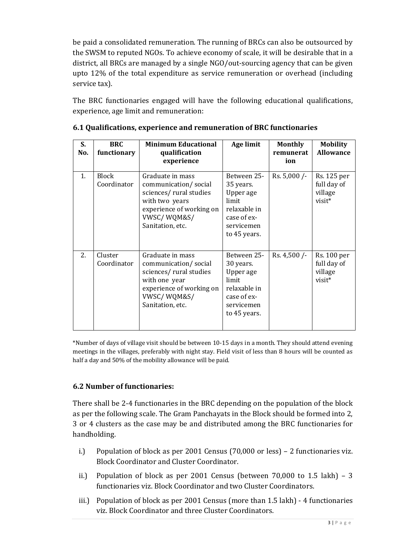be paid a consolidated remuneration. The running of BRCs can also be outsourced by the SWSM to reputed NGOs. To achieve economy of scale, it will be desirable that in a district, all BRCs are managed by a single NGO/out‐sourcing agency that can be given upto 12% of the total expenditure as service remuneration or overhead (including service tax).

 experience, age limit and remuneration: The BRC functionaries engaged will have the following educational qualifications,

| S.<br>No. | <b>BRC</b><br>functionary   | <b>Minimum Educational</b><br>qualification<br>experience                                                                                           | Age limit                                                                                                   | <b>Monthly</b><br>remunerat<br>ion | <b>Mobility</b><br><b>Allowance</b>             |
|-----------|-----------------------------|-----------------------------------------------------------------------------------------------------------------------------------------------------|-------------------------------------------------------------------------------------------------------------|------------------------------------|-------------------------------------------------|
| 1.        | <b>Block</b><br>Coordinator | Graduate in mass<br>communication/social<br>sciences/rural studies<br>with two years<br>experience of working on<br>VWSC/WQM&S/<br>Sanitation, etc. | Between 25-<br>35 years.<br>Upper age<br>limit<br>relaxable in<br>case of ex-<br>servicemen<br>to 45 years. | Rs. $5,000$ /-                     | Rs. 125 per<br>full day of<br>village<br>visit* |
| 2.        | Cluster<br>Coordinator      | Graduate in mass<br>communication/social<br>sciences/rural studies<br>with one year<br>experience of working on<br>VWSC/WQM&S/<br>Sanitation, etc.  | Between 25-<br>30 years.<br>Upper age<br>limit<br>relaxable in<br>case of ex-<br>servicemen<br>to 45 years. | Rs. 4,500 /-                       | Rs. 100 per<br>full day of<br>village<br>visit* |

|  | 6.1 Qualifications, experience and remuneration of BRC functionaries |  |  |
|--|----------------------------------------------------------------------|--|--|
|  |                                                                      |  |  |

 \*Number of days of village visit should be between 10‐15 days in a month. They should attend evening meetings in the villages, preferably with night stay. Field visit of less than 8 hours will be counted as half a day and 50% of the mobility allowance will be paid.

## **6.2 Number of functionaries:**

 There shall be 2‐4 functionaries in the BRC depending on the population of the block 3 or 4 clusters as the case may be and distributed among the BRC functionaries for as per the following scale. The Gram Panchayats in the Block should be formed into 2, handholding.

- i.) Population of block as per 2001 Census (70,000 or less) 2 functionaries viz. Block Coordinator and Cluster Coordinator.
- ii.) Population of block as per  $2001$  Census (between  $70,000$  to  $1.5$  lakh)  $-3$ functionaries viz. Block Coordinator and two Cluster Coordinators.
- iii.) Population of block as per 2001 Census (more than 1.5 lakh) 4 functionaries viz. Block Coordinator and three Cluster Coordinators.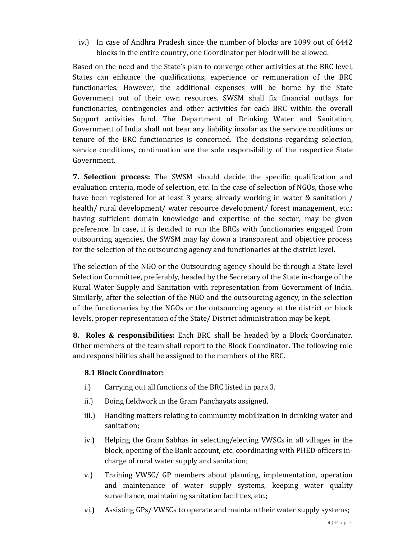iv.) In case of Andhra Pradesh since the number of blocks are 1099 out of 6442 blocks in the entire country, one Coordinator per block will be allowed.

 functionaries. However, the additional expenses will be borne by the State Support activities fund. The Department of Drinking Water and Sanitation, Government of India shall not bear any liability insofar as the service conditions or service conditions, continuation are the sole responsibility of the respective State Based on the need and the State's plan to converge other activities at the BRC level, States can enhance the qualifications, experience or remuneration of the BRC Government out of their own resources. SWSM shall fix financial outlays for functionaries, contingencies and other activities for each BRC within the overall tenure of the BRC functionaries is concerned. The decisions regarding selection, Government.

 **7. Selection process:** The SWSM should decide the specific qualification and evaluation criteria, mode of selection, etc. In the case of selection of NGOs, those who have been registered for at least 3 years; already working in water & sanitation / having sufficient domain knowledge and expertise of the sector, may be given preference. In case, it is decided to run the BRCs with functionaries engaged from outsourcing agencies, the SWSM may lay down a transparent and objective process health/ rural development/ water resource development/ forest management, etc.; for the selection of the outsourcing agency and functionaries at the district level.

 The selection of the NGO or the Outsourcing agency should be through a State level Selection Committee, preferably, headed by the Secretary of the State in‐charge of the Similarly, after the selection of the NGO and the outsourcing agency, in the selection of the functionaries by the NGOs or the outsourcing agency at the district or block Rural Water Supply and Sanitation with representation from Government of India. levels, proper representation of the State/ District administration may be kept.

 **8. Roles & responsibilities:** Each BRC shall be headed by a Block Coordinator. Other members of the team shall report to the Block Coordinator. The following role and responsibilities shall be assigned to the members of the BRC.

## **8.1 Block Coordinator:**

- i.) Carrying out all functions of the BRC listed in para 3.
- ii.) Doing fieldwork in the Gram Panchayats assigned.
- iii.) Handling matters relating to community mobilization in drinking water and sanitation;
- block, opening of the Bank account, etc. coordinating with PHED officers in‐ iv.) Helping the Gram Sabhas in selecting/electing VWSCs in all villages in the charge of rural water supply and sanitation;
- and maintenance of water supply systems, keeping water quality v.) Training VWSC/ GP members about planning, implementation, operation surveillance, maintaining sanitation facilities, etc.;
- vi.) Assisting GPs/ VWSCs to operate and maintain their water supply systems;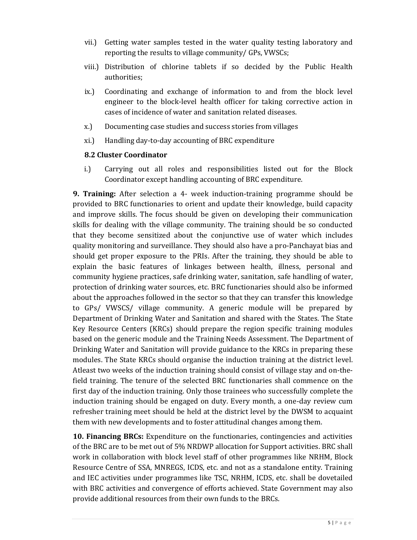- vii.) Getting water samples tested in the water quality testing laboratory and reporting the results to village community/ GPs, VWSCs;
- viii.) Distribution of chlorine tablets if so decided by the Public Health authorities;
- ix.) Coordinating and exchange of information to and from the block level cases of incidence of water and sanitation related diseases. engineer to the block‐level health officer for taking corrective action in
- x.) Documenting case studies and success stories from villages
- xi.) Handling day-to-day accounting of BRC expenditure

## **8.2 Cluster Coordinator**

i.) Carrying out all roles and responsibilities listed out for the Block Coordinator except handling accounting of BRC expenditure.

**9. Training:** After selection a 4- week induction-training programme should be skills for dealing with the village community. The training should be so conducted quality monitoring and surveillance. They should also have a pro‐Panchayat bias and explain the basic features of linkages between health, illness, personal and community hygiene practices, safe drinking water, sanitation, safe handling of water, about the approaches followed in the sector so that they can transfer this knowledge to GPs/ VWSCS/ village community. A generic module will be prepared by Department of Drinking Water and Sanitation and shared with the States. The State Drinking Water and Sanitation will provide guidance to the KRCs in preparing these modules. The State KRCs should organise the induction training at the district level. Atleast two weeks of the induction training should consist of village stay and on‐the‐ first day of the induction training. Only those trainees who successfully complete the induction training should be engaged on duty. Every month, a one‐day review cum refresher training meet should be held at the district level by the DWSM to acquaint provided to BRC functionaries to orient and update their knowledge, build capacity and improve skills. The focus should be given on developing their communication that they become sensitized about the conjunctive use of water which includes should get proper exposure to the PRIs. After the training, they should be able to protection of drinking water sources, etc. BRC functionaries should also be informed Key Resource Centers (KRCs) should prepare the region specific training modules based on the generic module and the Training Needs Assessment. The Department of field training. The tenure of the selected BRC functionaries shall commence on the them with new developments and to foster attitudinal changes among them.

 **10. Financing BRCs:** Expenditure on the functionaries, contingencies and activities work in collaboration with block level staff of other programmes like NRHM, Block with BRC activities and convergence of efforts achieved. State Government may also of the BRC are to be met out of 5% NRDWP allocation for Support activities. BRC shall Resource Centre of SSA, MNREGS, ICDS, etc. and not as a standalone entity. Training and IEC activities under programmes like TSC, NRHM, ICDS, etc. shall be dovetailed provide additional resources from their own funds to the BRCs.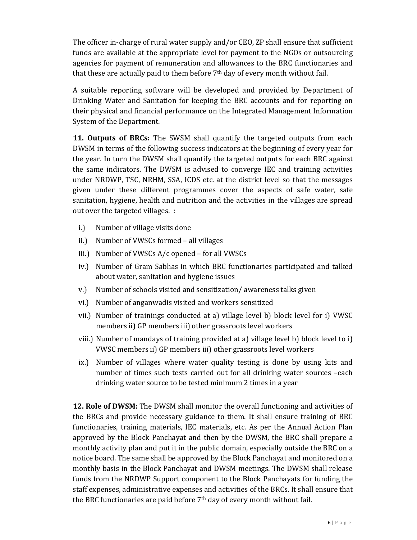funds are available at the appropriate level for payment to the NGOs or outsourcing agencies for payment of remuneration and allowances to the BRC functionaries and The officer in-charge of rural water supply and/or CEO, ZP shall ensure that sufficient that these are actually paid to them before  $7<sup>th</sup>$  day of every month without fail.

 A suitable reporting software will be developed and provided by Department of Drinking Water and Sanitation for keeping the BRC accounts and for reporting on their physical and financial performance on the Integrated Management Information System of the Department.

 **11. Outputs of BRCs:** The SWSM shall quantify the targeted outputs from each DWSM in terms of the following success indicators at the beginning of every year for the same indicators. The DWSM is advised to converge IEC and training activities sanitation, hygiene, health and nutrition and the activities in the villages are spread the year. In turn the DWSM shall quantify the targeted outputs for each BRC against under NRDWP, TSC, NRHM, SSA, ICDS etc. at the district level so that the messages given under these different programmes cover the aspects of safe water, safe out over the targeted villages. :

- i.) Number of village visits done
- ii.) Number of VWSCs formed all villages
- iii.) Number of VWSCs A/c opened for all VWSCs
- iv.) Number of Gram Sabhas in which BRC functionaries participated and talked about water, sanitation and hygiene issues
- v.) Number of schools visited and sensitization/ awareness talks given
- vi.) Number of anganwadis visited and workers sensitized
- vii.) Number of trainings conducted at a) village level b) block level for i) VWSC members ii) GP members iii) other grassroots level workers
- viii.) Number of mandays of training provided at a) village level b) block level to i) VWSC members ii) GP members iii) other grassroots level workers
- ix.) Number of villages where water quality testing is done by using kits and number of times such tests carried out for all drinking water sources -each drinking water source to be tested minimum 2 times in a year

 **12. Role of DWSM:** The DWSM shall monitor the overall functioning and activities of approved by the Block Panchayat and then by the DWSM, the BRC shall prepare a monthly activity plan and put it in the public domain, especially outside the BRC on a monthly basis in the Block Panchayat and DWSM meetings. The DWSM shall release funds from the NRDWP Support component to the Block Panchayats for funding the staff expenses, administrative expenses and activities of the BRCs. It shall ensure that the BRCs and provide necessary guidance to them. It shall ensure training of BRC functionaries, training materials, IEC materials, etc. As per the Annual Action Plan notice board. The same shall be approved by the Block Panchayat and monitored on a the BRC functionaries are paid before  $7<sup>th</sup>$  day of every month without fail.